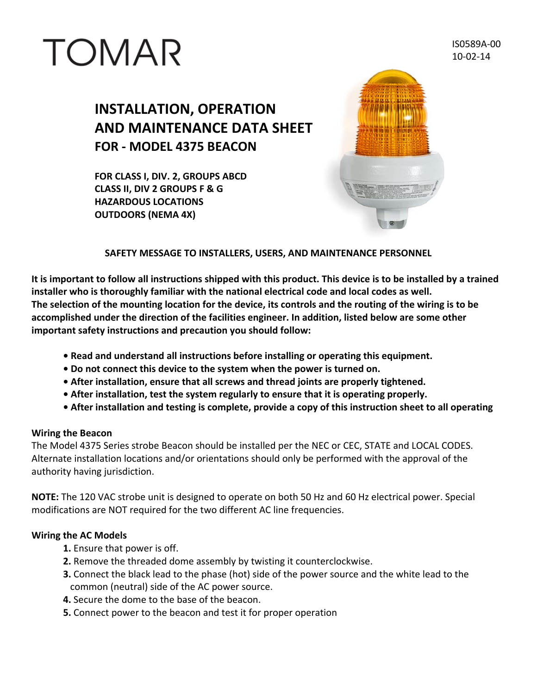# TOMAR

IS0589A‐00 10‐02‐14

## **INSTALLATION, OPERATION AND MAINTENANCE DATA SHEET FOR ‐ MODEL 4375 BEACON**

**FOR CLASS I, DIV. 2, GROUPS ABCD CLASS II, DIV 2 GROUPS F & G HAZARDOUS LOCATIONS OUTDOORS (NEMA 4X)**



#### **SAFETY MESSAGE TO INSTALLERS, USERS, AND MAINTENANCE PERSONNEL**

It is important to follow all instructions shipped with this product. This device is to be installed by a trained **installer who is thoroughly familiar with the national electrical code and local codes as well.** The selection of the mounting location for the device, its controls and the routing of the wiring is to be **accomplished under the direction of the facilities engineer. In addition, listed below are some other important safety instructions and precaution you should follow:**

- **• Read and understand all instructions before installing or operating this equipment.**
- **• Do not connect this device to the system when the power is turned on.**
- **• After installation, ensure that all screws and thread joints are properly tightened.**
- **• After installation, test the system regularly to ensure that it is operating properly.**
- After installation and testing is complete, provide a copy of this instruction sheet to all operating

#### **Wiring the Beacon**

The Model 4375 Series strobe Beacon should be installed per the NEC or CEC, STATE and LOCAL CODES. Alternate installation locations and/or orientations should only be performed with the approval of the authority having jurisdiction.

**NOTE:** The 120 VAC strobe unit is designed to operate on both 50 Hz and 60 Hz electrical power. Special modifications are NOT required for the two different AC line frequencies.

#### **Wiring the AC Models**

- **1.** Ensure that power is off.
- **2.** Remove the threaded dome assembly by twisting it counterclockwise.
- **3.** Connect the black lead to the phase (hot) side of the power source and the white lead to the common (neutral) side of the AC power source.
- **4.** Secure the dome to the base of the beacon.
- **5.** Connect power to the beacon and test it for proper operation